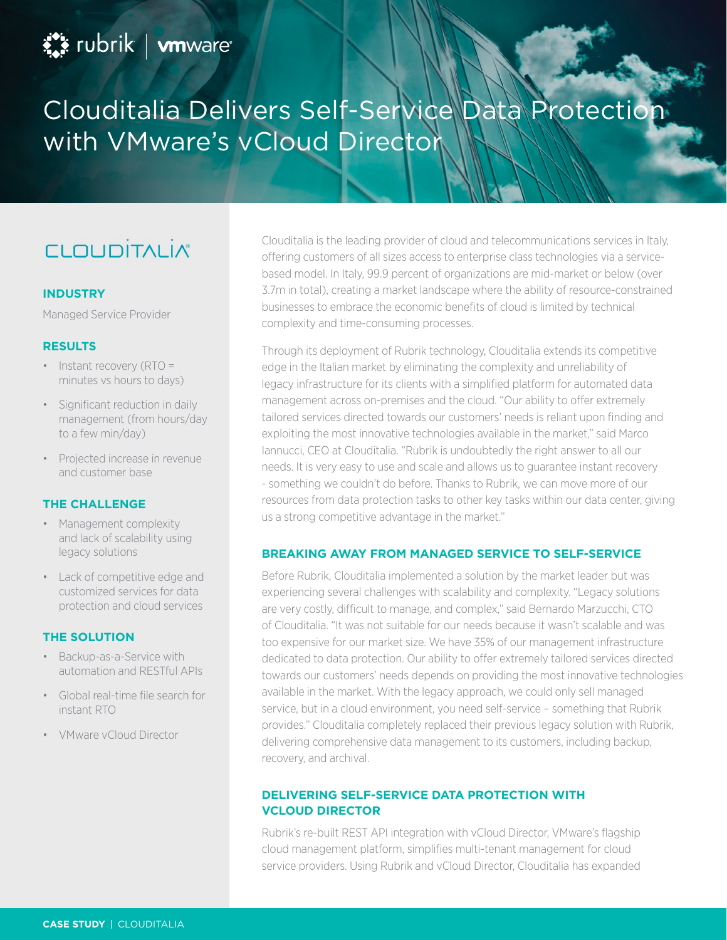# Clouditalia Delivers Self-Service Data Protection with VMware's vCloud Director

## **CLOUDITALIA**

#### **INDUSTRY**

Managed Service Provider

#### **RESULTS**

- Instant recovery (RTO = minutes vs hours to days)
- Significant reduction in daily management (from hours/day to a few min/day)
- Projected increase in revenue and customer base

#### **THE CHALLENGE**

- Management complexity and lack of scalability using legacy solutions
- Lack of competitive edge and customized services for data protection and cloud services

#### **THE SOLUTION**

- Backup-as-a-Service with automation and RESTful APIs
- Global real-time file search for instant RTO
- VMware vCloud Director

Clouditalia is the leading provider of cloud and telecommunications services in Italy, offering customers of all sizes access to enterprise class technologies via a servicebased model. In Italy, 99.9 percent of organizations are mid-market or below (over 3.7m in total), creating a market landscape where the ability of resource-constrained businesses to embrace the economic benefits of cloud is limited by technical complexity and time-consuming processes.

Through its deployment of Rubrik technology, Clouditalia extends its competitive edge in the Italian market by eliminating the complexity and unreliability of legacy infrastructure for its clients with a simplified platform for automated data management across on-premises and the cloud. "Our ability to offer extremely tailored services directed towards our customers' needs is reliant upon finding and exploiting the most innovative technologies available in the market," said Marco Iannucci, CEO at Clouditalia. "Rubrik is undoubtedly the right answer to all our needs. It is very easy to use and scale and allows us to guarantee instant recovery - something we couldn't do before. Thanks to Rubrik, we can move more of our resources from data protection tasks to other key tasks within our data center, giving us a strong competitive advantage in the market."

### **BREAKING AWAY FROM MANAGED SERVICE TO SELF-SERVICE**

Before Rubrik, Clouditalia implemented a solution by the market leader but was experiencing several challenges with scalability and complexity. "Legacy solutions are very costly, difficult to manage, and complex," said Bernardo Marzucchi, CTO of Clouditalia. "It was not suitable for our needs because it wasn't scalable and was too expensive for our market size. We have 35% of our management infrastructure dedicated to data protection. Our ability to offer extremely tailored services directed towards our customers' needs depends on providing the most innovative technologies available in the market. With the legacy approach, we could only sell managed service, but in a cloud environment, you need self-service – something that Rubrik provides." Clouditalia completely replaced their previous legacy solution with Rubrik, delivering comprehensive data management to its customers, including backup, recovery, and archival.

### **DELIVERING SELF-SERVICE DATA PROTECTION WITH VCLOUD DIRECTOR**

Rubrik's re-built REST API integration with vCloud Director, VMware's flagship cloud management platform, simplifies multi-tenant management for cloud service providers. Using Rubrik and vCloud Director, Clouditalia has expanded